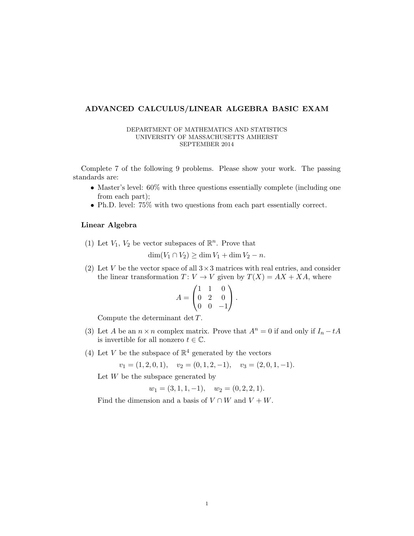## ADVANCED CALCULUS/LINEAR ALGEBRA BASIC EXAM

## DEPARTMENT OF MATHEMATICS AND STATISTICS UNIVERSITY OF MASSACHUSETTS AMHERST SEPTEMBER 2014

Complete 7 of the following 9 problems. Please show your work. The passing standards are:

- Master's level:  $60\%$  with three questions essentially complete (including one from each part);
- Ph.D. level: 75% with two questions from each part essentially correct.

## Linear Algebra

(1) Let  $V_1$ ,  $V_2$  be vector subspaces of  $\mathbb{R}^n$ . Prove that

 $\dim(V_1 \cap V_2) \geq \dim V_1 + \dim V_2 - n.$ 

(2) Let V be the vector space of all  $3 \times 3$  matrices with real entries, and consider the linear transformation  $T: V \to V$  given by  $T(X) = AX + XA$ , where

$$
A = \begin{pmatrix} 1 & 1 & 0 \\ 0 & 2 & 0 \\ 0 & 0 & -1 \end{pmatrix}.
$$

Compute the determinant det T.

- (3) Let A be an  $n \times n$  complex matrix. Prove that  $A^n = 0$  if and only if  $I_n tA$ is invertible for all nonzero  $t \in \mathbb{C}$ .
- (4) Let V be the subspace of  $\mathbb{R}^4$  generated by the vectors

$$
v_1 = (1, 2, 0, 1), v_2 = (0, 1, 2, -1), v_3 = (2, 0, 1, -1).
$$

Let  $W$  be the subspace generated by

$$
w_1 = (3, 1, 1, -1),
$$
  $w_2 = (0, 2, 2, 1).$ 

Find the dimension and a basis of  $V \cap W$  and  $V + W$ .